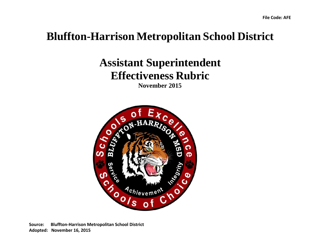## **Bluffton-Harrison Metropolitan School District**

## **Assistant Superintendent Effectiveness Rubric**

**November 2015**



**Source: Bluffton-Harrison Metropolitan School District Adopted: November 16, 2015**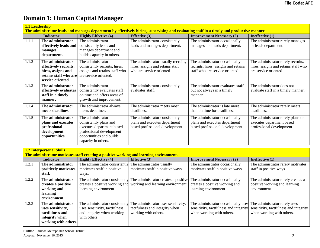## **Domain 1: Human Capital Manager**

|       | 1.1 Leadership<br>The administrator leads and manages department by effectively hiring, supervising and evaluating staff in a timely and productive manner. |                                                                                                                                                         |                                                                                                      |                                                                                                            |                                                                                                      |  |
|-------|-------------------------------------------------------------------------------------------------------------------------------------------------------------|---------------------------------------------------------------------------------------------------------------------------------------------------------|------------------------------------------------------------------------------------------------------|------------------------------------------------------------------------------------------------------------|------------------------------------------------------------------------------------------------------|--|
|       | <b>Indicator</b>                                                                                                                                            | <b>Highly Effective (4)</b>                                                                                                                             | <b>Effective</b> (3)                                                                                 | <b>Improvement Necessary (2)</b>                                                                           | Ineffective (1)                                                                                      |  |
| 1.1.1 | The administrator<br>effectively leads and<br>manages<br>department.                                                                                        | The administrator<br>consistently leads and<br>manages department and<br>builds capacity in others.                                                     | The administrator consistently<br>leads and manages department.                                      | The administrator occasionally<br>manages and leads department.                                            | The administrator rarely manages<br>or leads department.                                             |  |
| 1.1.2 | The administrator<br>effectively recruits,<br>hires, assigns and<br>retains staff who are<br>service oriented.                                              | The administrator<br>consistently recruits, hires,<br>assigns and retains staff who<br>are service oriented.                                            | The administrator usually recruits,<br>hires, assigns and retains staff<br>who are service oriented. | The administrator occasionally<br>recruits, hires, assigns and retains<br>staff who are service oriented.  | The administrator rarely recruits,<br>hires, assigns and retains staff who<br>are service oriented.  |  |
| 1.1.3 | The administrator<br>effectively evaluates<br>staff in a timely<br>manner.                                                                                  | The administrator<br>consistently evaluates staff<br>on time and offers areas of<br>growth and improvement.                                             | The administrator consistently<br>evaluates staff.                                                   | The administrator evaluates staff<br>but not always in a timely<br>manner.                                 | The administrator does not<br>evaluate staff in a timely manner.                                     |  |
| 1.1.4 | The administrator<br>meets deadlines.                                                                                                                       | The administrator always<br>meets deadlines.                                                                                                            | The administrator meets most<br>deadlines.                                                           | The administrator is late more<br>than on time for deadlines.                                              | The administrator rarely meets<br>deadlines.                                                         |  |
| 1.1.5 | The administrator<br>plans and executes<br>professional<br>development<br>opportunities.                                                                    | The administrator<br>consistently plans and<br>executes department based<br>professional development<br>opportunities and builds<br>capacity in others. | The administrator consistently<br>plans and executes department<br>based professional development.   | The administrator occasionally<br>plans and executes department<br>based professional development.         | The administrator rarely plans or<br>executes department based<br>professional development.          |  |
|       | <b>1.2 Interpersonal Skills</b>                                                                                                                             |                                                                                                                                                         |                                                                                                      |                                                                                                            |                                                                                                      |  |
|       | The administrator motivates staff creating a positive working and learning environment.                                                                     |                                                                                                                                                         |                                                                                                      |                                                                                                            |                                                                                                      |  |
| 1.2.1 | <b>Indicator</b><br>The administrator<br>positively motivates<br>staff.                                                                                     | <b>Highly Effective (4)</b><br>The administrator consistently<br>motivates staff in positive<br>ways.                                                   | <b>Effective (3)</b><br>The administrator usually<br>motivates staff in positive ways.               | <b>Improvement Necessary (2)</b><br>The administrator occasionally<br>motivates staff in positive ways.    | Ineffective (1)<br>The administrator rarely motivates<br>staff in positive ways.                     |  |
| 1.2.2 | The administrator<br>creates a positive<br>working and<br>learning<br>environment.                                                                          | The administrator consistently<br>creates a positive working and<br>learning environment.                                                               | The administrator creates a positive<br>working and learning environment.                            | The administrator occasionally<br>creates a positive working and<br>learning environment.                  | The administrator rarely creates a<br>positive working and learning<br>environment.                  |  |
| 1.2.3 | The administrator<br>uses sensitivity,<br>tactfulness and<br>integrity when<br>working with others.                                                         | The administrator consistently<br>uses sensitivity, tactfulness<br>and integrity when working<br>with others.                                           | The administrator uses sensitivity,<br>tactfulness and integrity when<br>working with others.        | The administrator occasionally use:<br>sensitivity, tactfulness and integrity<br>when working with others. | The administrator rarely uses<br>sensitivity, tactfulness and integrity<br>when working with others. |  |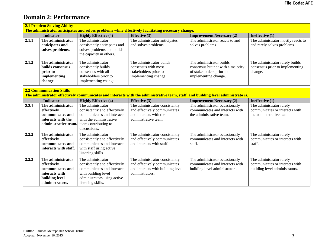### **Domain 2: Performance**

| <b>2.1 Problem Solving Ability</b><br>The administrator anticipates and solves problems while effectively facilitating necessary change.                            |                                                                                                             |                                                                                                                                                            |                                                                                                                        |                                                                                                                   |                                                                                              |  |
|---------------------------------------------------------------------------------------------------------------------------------------------------------------------|-------------------------------------------------------------------------------------------------------------|------------------------------------------------------------------------------------------------------------------------------------------------------------|------------------------------------------------------------------------------------------------------------------------|-------------------------------------------------------------------------------------------------------------------|----------------------------------------------------------------------------------------------|--|
|                                                                                                                                                                     | <b>Indicator</b>                                                                                            | <b>Highly Effective (4)</b>                                                                                                                                | <b>Effective</b> (3)                                                                                                   | <b>Improvement Necessary (2)</b>                                                                                  | Ineffective (1)                                                                              |  |
| 2.1.1                                                                                                                                                               | The administrator<br>anticipates and<br>solves problems.                                                    | The administrator<br>consistently anticipates and<br>solves problems and builds<br>the capacity in others.                                                 | The administrator anticipates<br>and solves problems.                                                                  | The administrator reacts to and<br>solves problems.                                                               | The administrator mostly reacts to<br>and rarely solves problems.                            |  |
| 2.1.2                                                                                                                                                               | The administrator<br>builds consensus<br>prior to<br>implementing<br>change.                                | The administrator<br>consistently builds<br>consensus with all<br>stakeholders prior to<br>implementing change.                                            | The administrator builds<br>consensus with most<br>stakeholders prior to<br>implementing change.                       | The administrator builds<br>consensus but not with a majority<br>of stakeholders prior to<br>implementing change. | The administrator rarely builds<br>consensus prior to implementing<br>change.                |  |
| <b>2.2 Communication Skills</b><br>The administrator effectively communicates and interacts with the administrative team, staff, and building level administrators. |                                                                                                             |                                                                                                                                                            |                                                                                                                        |                                                                                                                   |                                                                                              |  |
|                                                                                                                                                                     | <b>Indicator</b>                                                                                            | <b>Highly Effective (4)</b>                                                                                                                                | <b>Effective</b> (3)                                                                                                   | <b>Improvement Necessary (2)</b>                                                                                  | Ineffective (1)                                                                              |  |
| 2.2.1                                                                                                                                                               | The administrator<br>effectively<br>communicates and<br>interacts with the<br>administrative team.          | The administrator<br>consistently and effectively<br>communicates and interacts<br>with the administrative<br>team contributing to<br>discussions.         | The administrator consistently<br>and effectively communicates<br>and interacts with the<br>administrative team.       | The administrator occasionally<br>communicates and interacts with<br>the administrative team.                     | The administrator rarely<br>communicates or interacts with<br>the administrative team.       |  |
| 2.2.2                                                                                                                                                               | The administrator<br>effectively<br>communicates and<br>interacts with staff.                               | The administrator<br>consistently and effectively<br>communicates and interacts<br>with staff using active<br>listening skills.                            | The administrator consistently<br>and effectively communicates<br>and interacts with staff.                            | The administrator occasionally<br>communicates and interacts with<br>staff.                                       | The administrator rarely<br>communicates or interacts with<br>staff.                         |  |
| 2.2.3                                                                                                                                                               | The administrator<br>effectively<br>communicates and<br>interacts with<br>building level<br>administrators. | The administrator<br>consistently and effectively<br>communicates and interacts<br>with building level<br>administrators using active<br>listening skills. | The administrator consistently<br>and effectively communicates<br>and interacts with building level<br>administrators. | The administrator occasionally<br>communicates and interacts with<br>building level administrators.               | The administrator rarely<br>communicates or interacts with<br>building level administrators. |  |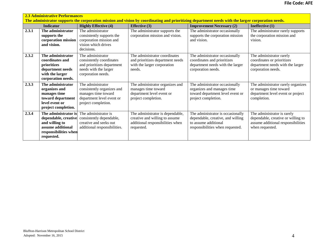| <b>2.3 Administrative Performances</b><br>The administrator supports the corporation mission and vision by coordinating and prioritizing department needs with the larger corporation needs. |                                                                                                                            |                                                                                                                            |                                                                                                                      |                                                                                                                                    |                                                                                                                            |
|----------------------------------------------------------------------------------------------------------------------------------------------------------------------------------------------|----------------------------------------------------------------------------------------------------------------------------|----------------------------------------------------------------------------------------------------------------------------|----------------------------------------------------------------------------------------------------------------------|------------------------------------------------------------------------------------------------------------------------------------|----------------------------------------------------------------------------------------------------------------------------|
|                                                                                                                                                                                              | <b>Indicator</b>                                                                                                           | <b>Highly Effective (4)</b>                                                                                                | <b>Effective</b> (3)                                                                                                 | <b>Improvement Necessary (2)</b>                                                                                                   | Ineffective (1)                                                                                                            |
| 2.3.1                                                                                                                                                                                        | The administrator<br>supports the<br>corporation mission<br>and vision.                                                    | The administrator<br>consistently supports the<br>corporation mission and<br>vision which drives<br>decisions.             | The administrator supports the<br>corporation mission and vision.                                                    | The administrator occasionally<br>supports the corporation mission<br>and vision.                                                  | The administrator rarely supports<br>the corporation mission and<br>vision.                                                |
| 2.3.2                                                                                                                                                                                        | The administrator<br>coordinates and<br>prioritizes<br>department needs<br>with the larger<br>corporation needs.           | The administrator<br>consistently coordinates<br>and prioritizes department<br>needs with the larger<br>corporation needs. | The administrator coordinates<br>and prioritizes department needs<br>with the larger corporation<br>needs.           | The administrator occasionally<br>coordinates and prioritizes<br>department needs with the larger<br>corporation needs.            | The administrator rarely<br>coordinates or prioritizes<br>department needs with the larger<br>corporation needs.           |
| 2.3.3                                                                                                                                                                                        | The administrator<br>organizes and<br>manages time<br>toward department<br>level event or<br>project completion.           | The administrator<br>consistently organizes and<br>manages time toward<br>department level event or<br>project completion. | The administrator organizes and<br>manages time toward<br>department level event or<br>project completion.           | The administrator occasionally<br>organizes and manages time<br>toward department level event or<br>project completion.            | The administrator rarely organizes<br>or manages time toward<br>department level event or project<br>completion.           |
| 2.3.4                                                                                                                                                                                        | The administrator is<br>dependable, creative<br>and willing to<br>assume additional<br>responsibilities when<br>requested. | The administrator is<br>consistently dependable,<br>creative and seeks out<br>additional responsibilities.                 | The administrator is dependable,<br>creative and willing to assume<br>additional responsibilities when<br>requested. | The administrator is occasionally<br>dependable, creative, and willing<br>to assume additional<br>responsibilities when requested. | The administrator is rarely<br>dependable, creative or willing to<br>assume additional responsibilities<br>when requested. |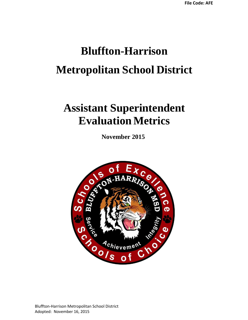# **Bluffton-Harrison Metropolitan School District**

## **Assistant Superintendent Evaluation Metrics**

**November 2015**



Bluffton-Harrison Metropolitan School District Adopted: November 16, 2015